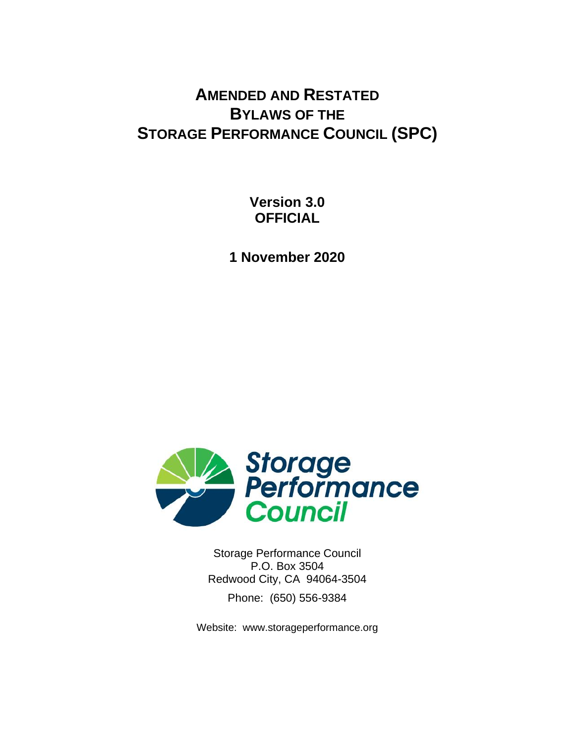# **AMENDED AND RESTATED BYLAWS OF THE STORAGE PERFORMANCE COUNCIL (SPC)**

**Version 3.0 OFFICIAL**

**1 November 2020**



Storage Performance Council P.O. Box 3504 Redwood City, CA 94064-3504 Phone: (650) 556-9384

Website: www.storageperformance.org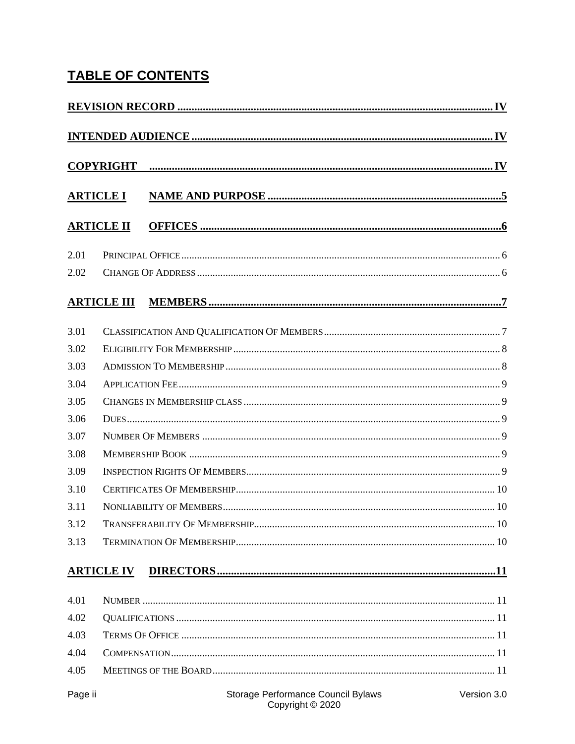# **TABLE OF CONTENTS**

|                  | <b>COPYRIGHT</b>   |                                                        |             |  |  |  |
|------------------|--------------------|--------------------------------------------------------|-------------|--|--|--|
| <b>ARTICLE I</b> |                    |                                                        |             |  |  |  |
|                  |                    |                                                        |             |  |  |  |
|                  | <b>ARTICLE II</b>  |                                                        |             |  |  |  |
| 2.01             |                    |                                                        |             |  |  |  |
| 2.02             |                    |                                                        |             |  |  |  |
|                  | <b>ARTICLE III</b> |                                                        |             |  |  |  |
| 3.01             |                    |                                                        |             |  |  |  |
| 3.02             |                    |                                                        |             |  |  |  |
| 3.03             |                    |                                                        |             |  |  |  |
| 3.04             |                    |                                                        |             |  |  |  |
| 3.05             |                    |                                                        |             |  |  |  |
| 3.06             |                    |                                                        |             |  |  |  |
| 3.07             |                    |                                                        |             |  |  |  |
| 3.08             |                    |                                                        |             |  |  |  |
| 3.09             |                    |                                                        |             |  |  |  |
| 3.10             |                    |                                                        |             |  |  |  |
| 3.11             |                    |                                                        |             |  |  |  |
| 3.12             |                    |                                                        |             |  |  |  |
| 3.13             |                    |                                                        |             |  |  |  |
|                  | <b>ARTICLE IV</b>  |                                                        |             |  |  |  |
| 4.01             |                    |                                                        |             |  |  |  |
| 4.02             |                    |                                                        |             |  |  |  |
| 4.03             |                    |                                                        |             |  |  |  |
| 4.04             |                    |                                                        |             |  |  |  |
| 4.05             |                    |                                                        |             |  |  |  |
| Page ii          |                    | Storage Performance Council Bylaws<br>Copyright © 2020 | Version 3.0 |  |  |  |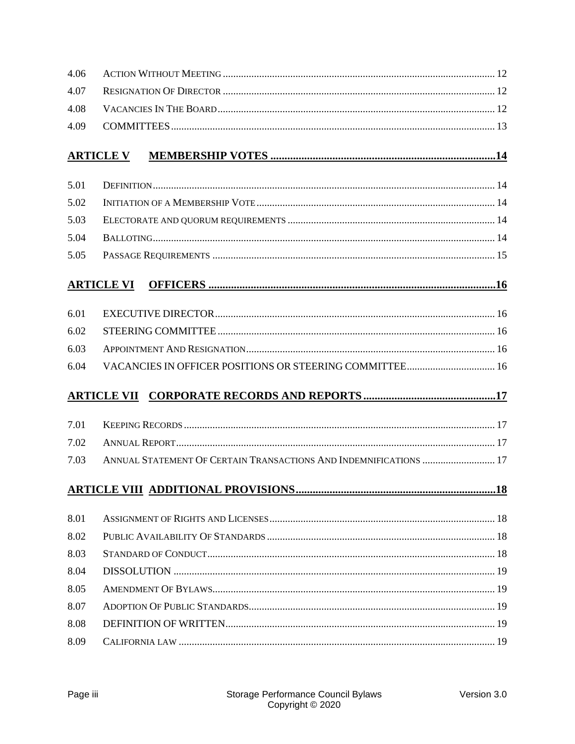| 4.06 |                                                                   |  |  |  |  |
|------|-------------------------------------------------------------------|--|--|--|--|
| 4.07 |                                                                   |  |  |  |  |
| 4.08 |                                                                   |  |  |  |  |
| 4.09 |                                                                   |  |  |  |  |
|      | <b>ARTICLE V</b>                                                  |  |  |  |  |
| 5.01 |                                                                   |  |  |  |  |
| 5.02 |                                                                   |  |  |  |  |
| 5.03 |                                                                   |  |  |  |  |
| 5.04 |                                                                   |  |  |  |  |
| 5.05 |                                                                   |  |  |  |  |
|      | <b>ARTICLE VI</b>                                                 |  |  |  |  |
| 6.01 |                                                                   |  |  |  |  |
| 6.02 |                                                                   |  |  |  |  |
| 6.03 |                                                                   |  |  |  |  |
| 6.04 |                                                                   |  |  |  |  |
|      |                                                                   |  |  |  |  |
| 7.01 |                                                                   |  |  |  |  |
| 7.02 |                                                                   |  |  |  |  |
| 7.03 | ANNUAL STATEMENT OF CERTAIN TRANSACTIONS AND INDEMNIFICATIONS  17 |  |  |  |  |
|      |                                                                   |  |  |  |  |
| 8.01 |                                                                   |  |  |  |  |
| 8.02 |                                                                   |  |  |  |  |
| 8.03 |                                                                   |  |  |  |  |
| 8.04 |                                                                   |  |  |  |  |
| 8.05 |                                                                   |  |  |  |  |
| 8.07 |                                                                   |  |  |  |  |
| 8.08 |                                                                   |  |  |  |  |
| 8.09 |                                                                   |  |  |  |  |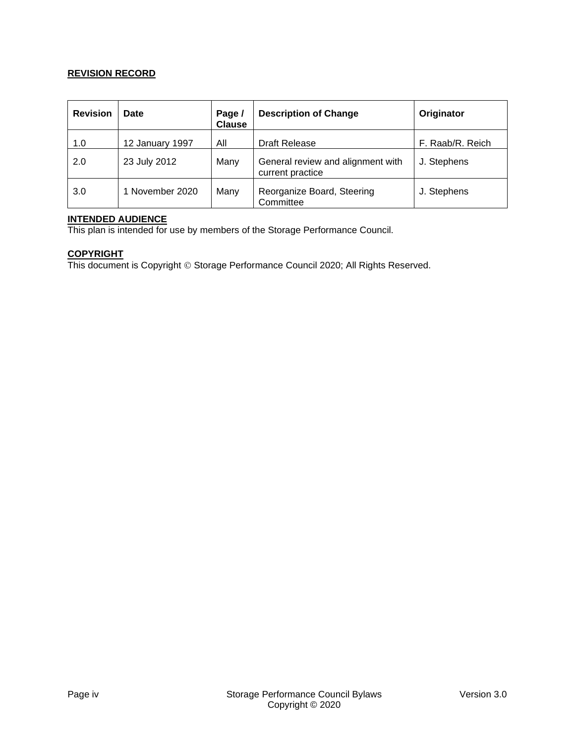#### **REVISION RECORD**

| <b>Revision</b> | Date            | Page /<br><b>Clause</b> | <b>Description of Change</b>                          | Originator       |
|-----------------|-----------------|-------------------------|-------------------------------------------------------|------------------|
| 1.0             | 12 January 1997 | All                     | Draft Release                                         | F. Raab/R. Reich |
| 2.0             | 23 July 2012    | Many                    | General review and alignment with<br>current practice | J. Stephens      |
| 3.0             | 1 November 2020 | Many                    | Reorganize Board, Steering<br>Committee               | J. Stephens      |

#### **INTENDED AUDIENCE**

This plan is intended for use by members of the Storage Performance Council.

#### **COPYRIGHT**

This document is Copyright © Storage Performance Council 2020; All Rights Reserved.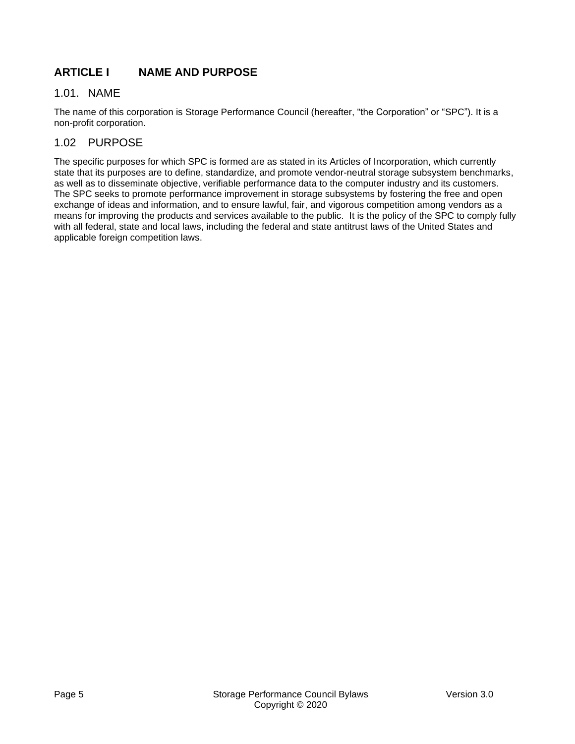# **ARTICLE I NAME AND PURPOSE**

# 1.01. NAME

The name of this corporation is Storage Performance Council (hereafter, "the Corporation" or "SPC"). It is a non-profit corporation.

# 1.02 PURPOSE

The specific purposes for which SPC is formed are as stated in its Articles of Incorporation, which currently state that its purposes are to define, standardize, and promote vendor-neutral storage subsystem benchmarks, as well as to disseminate objective, verifiable performance data to the computer industry and its customers. The SPC seeks to promote performance improvement in storage subsystems by fostering the free and open exchange of ideas and information, and to ensure lawful, fair, and vigorous competition among vendors as a means for improving the products and services available to the public. It is the policy of the SPC to comply fully with all federal, state and local laws, including the federal and state antitrust laws of the United States and applicable foreign competition laws.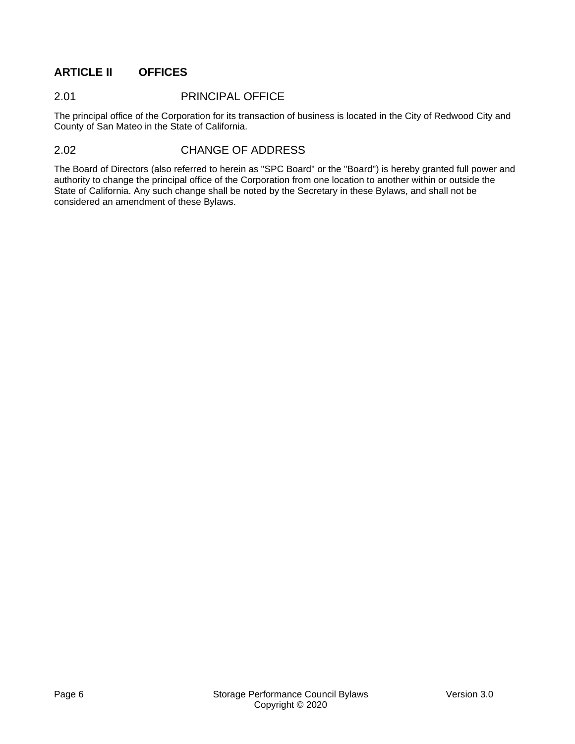# **ARTICLE II OFFICES**

## 2.01 PRINCIPAL OFFICE

The principal office of the Corporation for its transaction of business is located in the City of Redwood City and County of San Mateo in the State of California.

### 2.02 CHANGE OF ADDRESS

The Board of Directors (also referred to herein as "SPC Board" or the "Board") is hereby granted full power and authority to change the principal office of the Corporation from one location to another within or outside the State of California. Any such change shall be noted by the Secretary in these Bylaws, and shall not be considered an amendment of these Bylaws.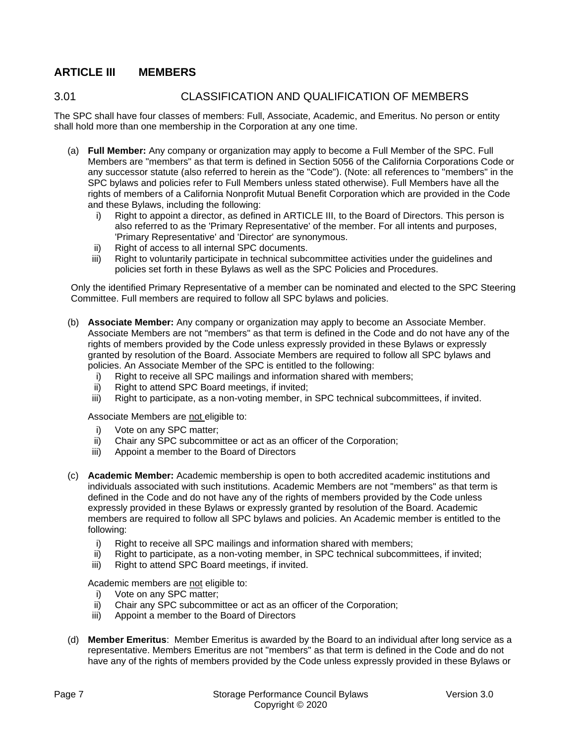# **ARTICLE III MEMBERS**

# <span id="page-6-0"></span>3.01 CLASSIFICATION AND QUALIFICATION OF MEMBERS

The SPC shall have four classes of members: Full, Associate, Academic, and Emeritus. No person or entity shall hold more than one membership in the Corporation at any one time.

- (a) **Full Member:** Any company or organization may apply to become a Full Member of the SPC. Full Members are "members" as that term is defined in Section 5056 of the California Corporations Code or any successor statute (also referred to herein as the "Code"). (Note: all references to "members" in the SPC bylaws and policies refer to Full Members unless stated otherwise). Full Members have all the rights of members of a California Nonprofit Mutual Benefit Corporation which are provided in the Code and these Bylaws, including the following:
	- i) Right to appoint a director, as defined in ARTICLE III, to the Board of Directors. This person is also referred to as the 'Primary Representative' of the member. For all intents and purposes, 'Primary Representative' and 'Director' are synonymous.
	- ii) Right of access to all internal SPC documents.
	- iii) Right to voluntarily participate in technical subcommittee activities under the guidelines and policies set forth in these Bylaws as well as the SPC Policies and Procedures.

Only the identified Primary Representative of a member can be nominated and elected to the SPC Steering Committee. Full members are required to follow all SPC bylaws and policies.

- (b) **Associate Member:** Any company or organization may apply to become an Associate Member. Associate Members are not "members" as that term is defined in the Code and do not have any of the rights of members provided by the Code unless expressly provided in these Bylaws or expressly granted by resolution of the Board. Associate Members are required to follow all SPC bylaws and policies. An Associate Member of the SPC is entitled to the following:
	- i) Right to receive all SPC mailings and information shared with members;
	- ii) Right to attend SPC Board meetings, if invited;
	- iii) Right to participate, as a non-voting member, in SPC technical subcommittees, if invited.

Associate Members are not eligible to:

- i) Vote on any SPC matter;
- ii) Chair any SPC subcommittee or act as an officer of the Corporation;
- iii) Appoint a member to the Board of Directors
- (c) **Academic Member:** Academic membership is open to both accredited academic institutions and individuals associated with such institutions. Academic Members are not "members" as that term is defined in the Code and do not have any of the rights of members provided by the Code unless expressly provided in these Bylaws or expressly granted by resolution of the Board. Academic members are required to follow all SPC bylaws and policies. An Academic member is entitled to the following:
	- i) Right to receive all SPC mailings and information shared with members;
	- ii) Right to participate, as a non-voting member, in SPC technical subcommittees, if invited;
	- iii) Right to attend SPC Board meetings, if invited.

Academic members are not eligible to:

- i) Vote on any SPC matter;
- ii) Chair any SPC subcommittee or act as an officer of the Corporation;
- iii) Appoint a member to the Board of Directors
- (d) **Member Emeritus**: Member Emeritus is awarded by the Board to an individual after long service as a representative. Members Emeritus are not "members" as that term is defined in the Code and do not have any of the rights of members provided by the Code unless expressly provided in these Bylaws or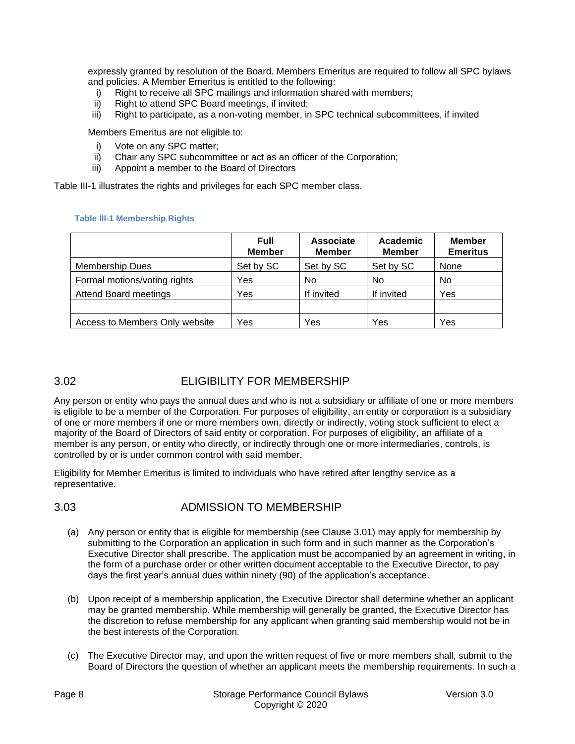expressly granted by resolution of the Board. Members Emeritus are required to follow all SPC bylaws and policies. A Member Emeritus is entitled to the following:

- i) Right to receive all SPC mailings and information shared with members;
- ii) Right to attend SPC Board meetings, if invited;
- iii) Right to participate, as a non-voting member, in SPC technical subcommittees, if invited

Members Emeritus are not eligible to:

- i) Vote on any SPC matter:
- ii) Chair any SPC subcommittee or act as an officer of the Corporation;
- iii) Appoint a member to the Board of Directors

[Table III-1](#page-7-0) illustrates the rights and privileges for each SPC member class.

#### <span id="page-7-0"></span>**Table III-1 Membership Rights**

|                                | <b>Full</b><br><b>Member</b> | Associate<br><b>Member</b> | Academic<br><b>Member</b> | <b>Member</b><br><b>Emeritus</b> |
|--------------------------------|------------------------------|----------------------------|---------------------------|----------------------------------|
| <b>Membership Dues</b>         | Set by SC                    | Set by SC                  | Set by SC                 | None                             |
| Formal motions/voting rights   | Yes                          | No                         | No                        | No                               |
| <b>Attend Board meetings</b>   | Yes                          | If invited                 | If invited                | Yes                              |
|                                |                              |                            |                           |                                  |
| Access to Members Only website | Yes                          | Yes                        | Yes                       | Yes                              |

# 3.02 ELIGIBILITY FOR MEMBERSHIP

Any person or entity who pays the annual dues and who is not a subsidiary or affiliate of one or more members is eligible to be a member of the Corporation. For purposes of eligibility, an entity or corporation is a subsidiary of one or more members if one or more members own, directly or indirectly, voting stock sufficient to elect a majority of the Board of Directors of said entity or corporation. For purposes of eligibility, an affiliate of a member is any person, or entity who directly, or indirectly through one or more intermediaries, controls, is controlled by or is under common control with said member.

Eligibility for Member Emeritus is limited to individuals who have retired after lengthy service as a representative.

# <span id="page-7-1"></span>3.03 ADMISSION TO MEMBERSHIP

- (a) Any person or entity that is eligible for membership (see Clause [3.01\)](#page-6-0) may apply for membership by submitting to the Corporation an application in such form and in such manner as the Corporation's Executive Director shall prescribe. The application must be accompanied by an agreement in writing, in the form of a purchase order or other written document acceptable to the Executive Director, to pay days the first year's annual dues within ninety (90) of the application's acceptance.
- (b) Upon receipt of a membership application, the Executive Director shall determine whether an applicant may be granted membership. While membership will generally be granted, the Executive Director has the discretion to refuse membership for any applicant when granting said membership would not be in the best interests of the Corporation.
- (c) The Executive Director may, and upon the written request of five or more members shall, submit to the Board of Directors the question of whether an applicant meets the membership requirements. In such a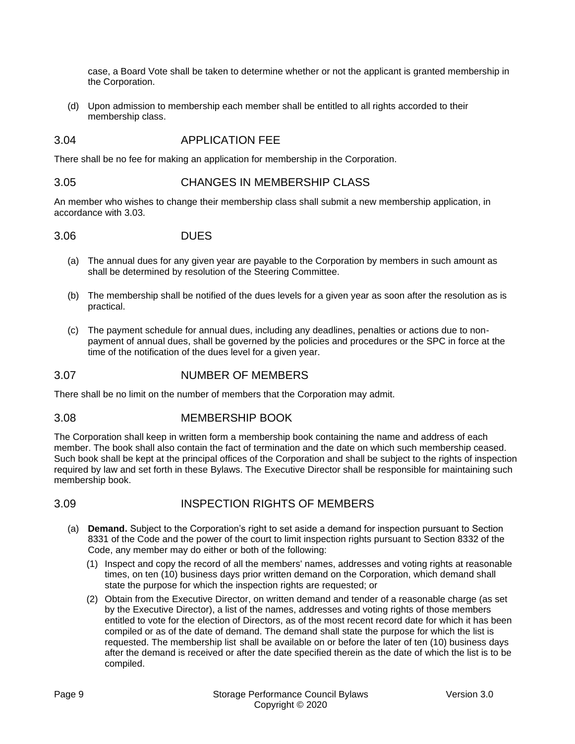case, a Board Vote shall be taken to determine whether or not the applicant is granted membership in the Corporation.

(d) Upon admission to membership each member shall be entitled to all rights accorded to their membership class.

### 3.04 APPLICATION FEE

There shall be no fee for making an application for membership in the Corporation.

#### 3.05 CHANGES IN MEMBERSHIP CLASS

An member who wishes to change their membership class shall submit a new membership application, in accordance with [3.03.](#page-7-1)

#### 3.06 DUES

- (a) The annual dues for any given year are payable to the Corporation by members in such amount as shall be determined by resolution of the Steering Committee.
- (b) The membership shall be notified of the dues levels for a given year as soon after the resolution as is practical.
- (c) The payment schedule for annual dues, including any deadlines, penalties or actions due to nonpayment of annual dues, shall be governed by the policies and procedures or the SPC in force at the time of the notification of the dues level for a given year.

#### 3.07 NUMBER OF MEMBERS

There shall be no limit on the number of members that the Corporation may admit.

#### 3.08 MEMBERSHIP BOOK

The Corporation shall keep in written form a membership book containing the name and address of each member. The book shall also contain the fact of termination and the date on which such membership ceased. Such book shall be kept at the principal offices of the Corporation and shall be subject to the rights of inspection required by law and set forth in these Bylaws. The Executive Director shall be responsible for maintaining such membership book.

# 3.09 INSPECTION RIGHTS OF MEMBERS

- (a) **Demand.** Subject to the Corporation's right to set aside a demand for inspection pursuant to Section 8331 of the Code and the power of the court to limit inspection rights pursuant to Section 8332 of the Code, any member may do either or both of the following:
	- (1) Inspect and copy the record of all the members' names, addresses and voting rights at reasonable times, on ten (10) business days prior written demand on the Corporation, which demand shall state the purpose for which the inspection rights are requested; or
	- (2) Obtain from the Executive Director, on written demand and tender of a reasonable charge (as set by the Executive Director), a list of the names, addresses and voting rights of those members entitled to vote for the election of Directors, as of the most recent record date for which it has been compiled or as of the date of demand. The demand shall state the purpose for which the list is requested. The membership list shall be available on or before the later of ten (10) business days after the demand is received or after the date specified therein as the date of which the list is to be compiled.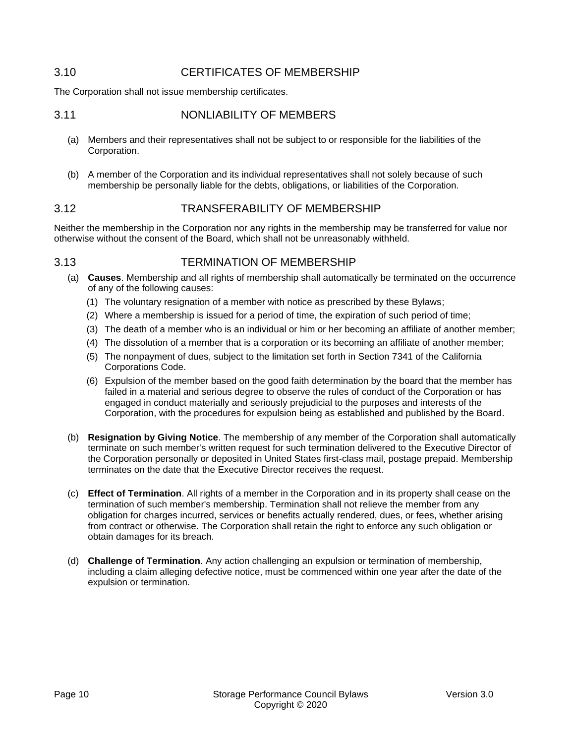# 3.10 CERTIFICATES OF MEMBERSHIP

The Corporation shall not issue membership certificates.

## 3.11 NONLIABILITY OF MEMBERS

- (a) Members and their representatives shall not be subject to or responsible for the liabilities of the Corporation.
- (b) A member of the Corporation and its individual representatives shall not solely because of such membership be personally liable for the debts, obligations, or liabilities of the Corporation.

# 3.12 TRANSFERABILITY OF MEMBERSHIP

Neither the membership in the Corporation nor any rights in the membership may be transferred for value nor otherwise without the consent of the Board, which shall not be unreasonably withheld.

### 3.13 TERMINATION OF MEMBERSHIP

- (a) **Causes**. Membership and all rights of membership shall automatically be terminated on the occurrence of any of the following causes:
	- (1) The voluntary resignation of a member with notice as prescribed by these Bylaws;
	- (2) Where a membership is issued for a period of time, the expiration of such period of time;
	- (3) The death of a member who is an individual or him or her becoming an affiliate of another member;
	- (4) The dissolution of a member that is a corporation or its becoming an affiliate of another member;
	- (5) The nonpayment of dues, subject to the limitation set forth in Section 7341 of the California Corporations Code.
	- (6) Expulsion of the member based on the good faith determination by the board that the member has failed in a material and serious degree to observe the rules of conduct of the Corporation or has engaged in conduct materially and seriously prejudicial to the purposes and interests of the Corporation, with the procedures for expulsion being as established and published by the Board.
- (b) **Resignation by Giving Notice**. The membership of any member of the Corporation shall automatically terminate on such member's written request for such termination delivered to the Executive Director of the Corporation personally or deposited in United States first-class mail, postage prepaid. Membership terminates on the date that the Executive Director receives the request.
- (c) **Effect of Termination**. All rights of a member in the Corporation and in its property shall cease on the termination of such member's membership. Termination shall not relieve the member from any obligation for charges incurred, services or benefits actually rendered, dues, or fees, whether arising from contract or otherwise. The Corporation shall retain the right to enforce any such obligation or obtain damages for its breach.
- (d) **Challenge of Termination**. Any action challenging an expulsion or termination of membership, including a claim alleging defective notice, must be commenced within one year after the date of the expulsion or termination.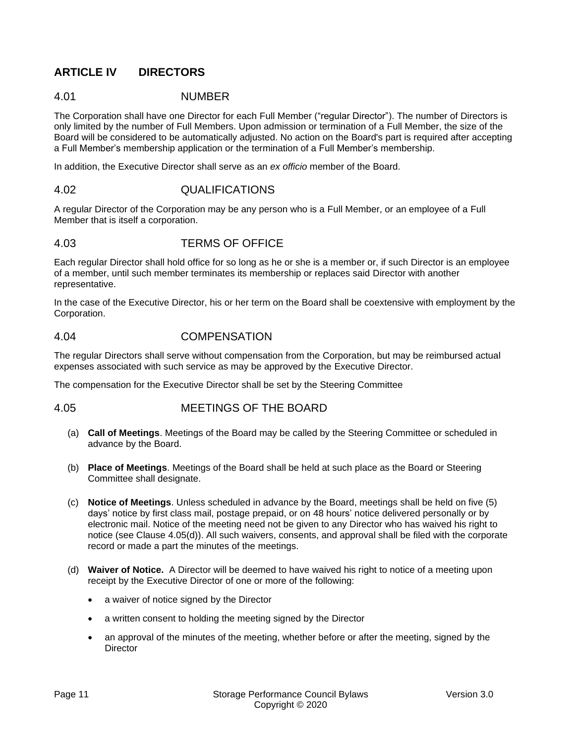# **ARTICLE IV DIRECTORS**

### 4.01 NUMBER

The Corporation shall have one Director for each Full Member ("regular Director"). The number of Directors is only limited by the number of Full Members. Upon admission or termination of a Full Member, the size of the Board will be considered to be automatically adjusted. No action on the Board's part is required after accepting a Full Member's membership application or the termination of a Full Member's membership.

In addition, the Executive Director shall serve as an *ex officio* member of the Board.

#### 4.02 QUALIFICATIONS

A regular Director of the Corporation may be any person who is a Full Member, or an employee of a Full Member that is itself a corporation.

### 4.03 TERMS OF OFFICE

Each regular Director shall hold office for so long as he or she is a member or, if such Director is an employee of a member, until such member terminates its membership or replaces said Director with another representative.

In the case of the Executive Director, his or her term on the Board shall be coextensive with employment by the Corporation.

### 4.04 COMPENSATION

The regular Directors shall serve without compensation from the Corporation, but may be reimbursed actual expenses associated with such service as may be approved by the Executive Director.

The compensation for the Executive Director shall be set by the Steering Committee

4.05 MEETINGS OF THE BOARD

- (a) **Call of Meetings**. Meetings of the Board may be called by the Steering Committee or scheduled in advance by the Board.
- (b) **Place of Meetings**. Meetings of the Board shall be held at such place as the Board or Steering Committee shall designate.
- (c) **Notice of Meetings**. Unless scheduled in advance by the Board, meetings shall be held on five (5) days' notice by first class mail, postage prepaid, or on 48 hours' notice delivered personally or by electronic mail. Notice of the meeting need not be given to any Director who has waived his right to notice (see Clause 4.05(d)). All such waivers, consents, and approval shall be filed with the corporate record or made a part the minutes of the meetings.
- (d) **Waiver of Notice.** A Director will be deemed to have waived his right to notice of a meeting upon receipt by the Executive Director of one or more of the following:
	- a waiver of notice signed by the Director
	- a written consent to holding the meeting signed by the Director
	- an approval of the minutes of the meeting, whether before or after the meeting, signed by the **Director**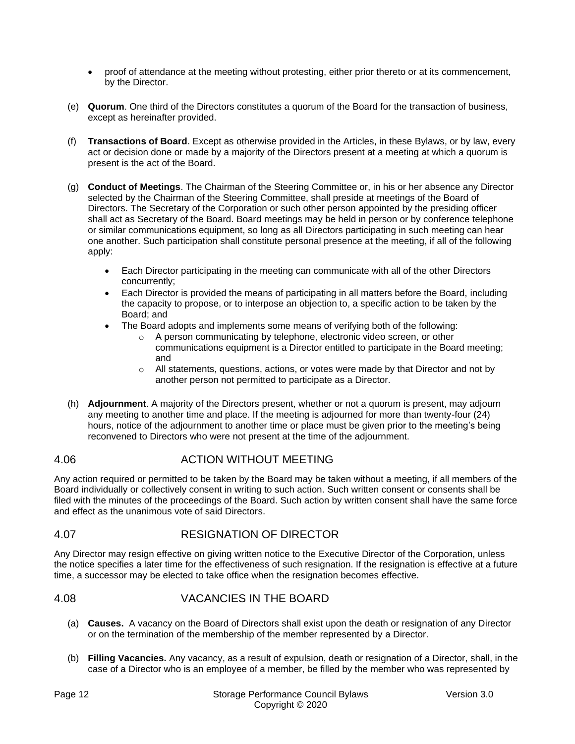- proof of attendance at the meeting without protesting, either prior thereto or at its commencement, by the Director.
- (e) **Quorum**. One third of the Directors constitutes a quorum of the Board for the transaction of business, except as hereinafter provided.
- (f) **Transactions of Board**. Except as otherwise provided in the Articles, in these Bylaws, or by law, every act or decision done or made by a majority of the Directors present at a meeting at which a quorum is present is the act of the Board.
- (g) **Conduct of Meetings**. The Chairman of the Steering Committee or, in his or her absence any Director selected by the Chairman of the Steering Committee, shall preside at meetings of the Board of Directors. The Secretary of the Corporation or such other person appointed by the presiding officer shall act as Secretary of the Board. Board meetings may be held in person or by conference telephone or similar communications equipment, so long as all Directors participating in such meeting can hear one another. Such participation shall constitute personal presence at the meeting, if all of the following apply:
	- Each Director participating in the meeting can communicate with all of the other Directors concurrently;
	- Each Director is provided the means of participating in all matters before the Board, including the capacity to propose, or to interpose an objection to, a specific action to be taken by the Board; and
	- The Board adopts and implements some means of verifying both of the following:
		- o A person communicating by telephone, electronic video screen, or other communications equipment is a Director entitled to participate in the Board meeting; and
		- $\circ$  All statements, questions, actions, or votes were made by that Director and not by another person not permitted to participate as a Director.
- (h) **Adjournment**. A majority of the Directors present, whether or not a quorum is present, may adjourn any meeting to another time and place. If the meeting is adjourned for more than twenty-four (24) hours, notice of the adjournment to another time or place must be given prior to the meeting's being reconvened to Directors who were not present at the time of the adjournment.

# 4.06 ACTION WITHOUT MEETING

Any action required or permitted to be taken by the Board may be taken without a meeting, if all members of the Board individually or collectively consent in writing to such action. Such written consent or consents shall be filed with the minutes of the proceedings of the Board. Such action by written consent shall have the same force and effect as the unanimous vote of said Directors.

# 4.07 RESIGNATION OF DIRECTOR

Any Director may resign effective on giving written notice to the Executive Director of the Corporation, unless the notice specifies a later time for the effectiveness of such resignation. If the resignation is effective at a future time, a successor may be elected to take office when the resignation becomes effective.

# 4.08 VACANCIES IN THE BOARD

- (a) **Causes.** A vacancy on the Board of Directors shall exist upon the death or resignation of any Director or on the termination of the membership of the member represented by a Director.
- (b) **Filling Vacancies.** Any vacancy, as a result of expulsion, death or resignation of a Director, shall, in the case of a Director who is an employee of a member, be filled by the member who was represented by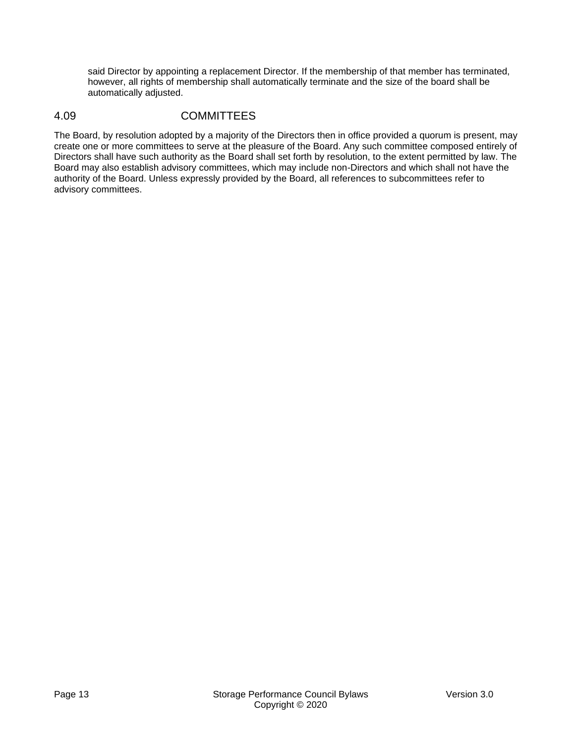said Director by appointing a replacement Director. If the membership of that member has terminated, however, all rights of membership shall automatically terminate and the size of the board shall be automatically adjusted.

# <span id="page-12-0"></span>4.09 COMMITTEES

The Board, by resolution adopted by a majority of the Directors then in office provided a quorum is present, may create one or more committees to serve at the pleasure of the Board. Any such committee composed entirely of Directors shall have such authority as the Board shall set forth by resolution, to the extent permitted by law. The Board may also establish advisory committees, which may include non-Directors and which shall not have the authority of the Board. Unless expressly provided by the Board, all references to subcommittees refer to advisory committees.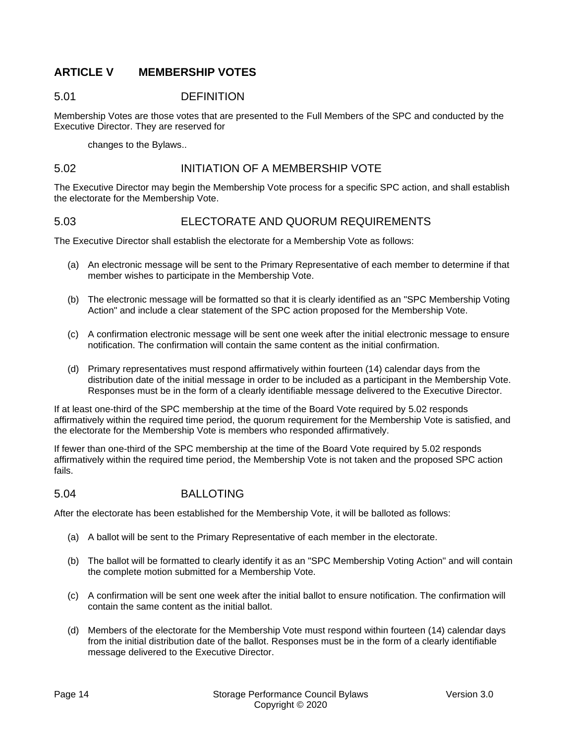# **ARTICLE V MEMBERSHIP VOTES**

### 5.01 DEFINITION

Membership Votes are those votes that are presented to the Full Members of the SPC and conducted by the Executive Director. They are reserved for

changes to the Bylaws..

### <span id="page-13-0"></span>5.02 INITIATION OF A MEMBERSHIP VOTE

The Executive Director may begin the Membership Vote process for a specific SPC action, and shall establish the electorate for the Membership Vote.

# 5.03 ELECTORATE AND QUORUM REQUIREMENTS

The Executive Director shall establish the electorate for a Membership Vote as follows:

- (a) An electronic message will be sent to the Primary Representative of each member to determine if that member wishes to participate in the Membership Vote.
- (b) The electronic message will be formatted so that it is clearly identified as an "SPC Membership Voting Action" and include a clear statement of the SPC action proposed for the Membership Vote.
- (c) A confirmation electronic message will be sent one week after the initial electronic message to ensure notification. The confirmation will contain the same content as the initial confirmation.
- (d) Primary representatives must respond affirmatively within fourteen (14) calendar days from the distribution date of the initial message in order to be included as a participant in the Membership Vote. Responses must be in the form of a clearly identifiable message delivered to the Executive Director.

If at least one-third of the SPC membership at the time of the Board Vote required by [5.02](#page-13-0) responds affirmatively within the required time period, the quorum requirement for the Membership Vote is satisfied, and the electorate for the Membership Vote is members who responded affirmatively.

If fewer than one-third of the SPC membership at the time of the Board Vote required by [5.02](#page-13-0) responds affirmatively within the required time period, the Membership Vote is not taken and the proposed SPC action fails.

#### 5.04 BALLOTING

After the electorate has been established for the Membership Vote, it will be balloted as follows:

- (a) A ballot will be sent to the Primary Representative of each member in the electorate.
- (b) The ballot will be formatted to clearly identify it as an "SPC Membership Voting Action" and will contain the complete motion submitted for a Membership Vote.
- (c) A confirmation will be sent one week after the initial ballot to ensure notification. The confirmation will contain the same content as the initial ballot.
- (d) Members of the electorate for the Membership Vote must respond within fourteen (14) calendar days from the initial distribution date of the ballot. Responses must be in the form of a clearly identifiable message delivered to the Executive Director.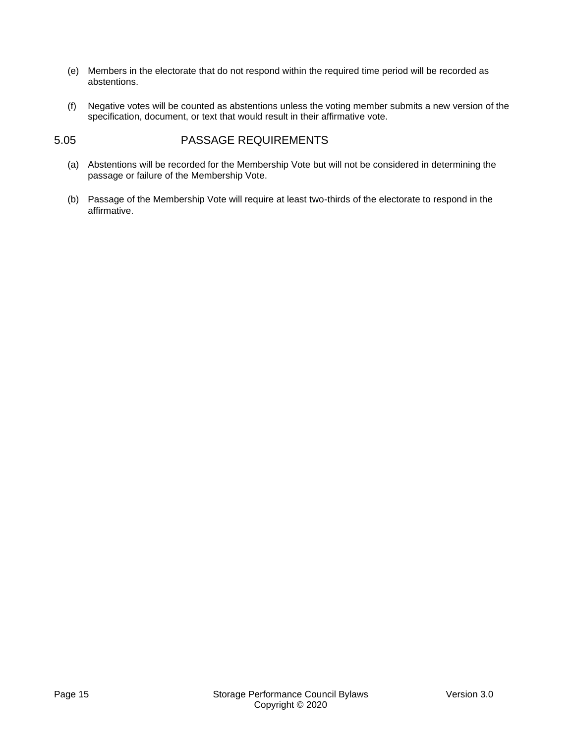- (e) Members in the electorate that do not respond within the required time period will be recorded as abstentions.
- (f) Negative votes will be counted as abstentions unless the voting member submits a new version of the specification, document, or text that would result in their affirmative vote.

## 5.05 PASSAGE REQUIREMENTS

- (a) Abstentions will be recorded for the Membership Vote but will not be considered in determining the passage or failure of the Membership Vote.
- (b) Passage of the Membership Vote will require at least two-thirds of the electorate to respond in the affirmative.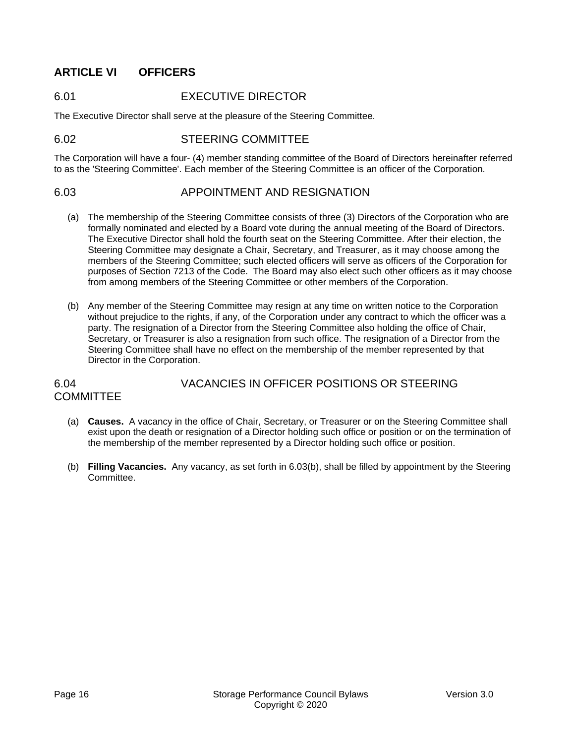# **ARTICLE VI OFFICERS**

# 6.01 EXECUTIVE DIRECTOR

The Executive Director shall serve at the pleasure of the Steering Committee.

### 6.02 STEERING COMMITTEE

The Corporation will have a four- (4) member standing committee of the Board of Directors hereinafter referred to as the 'Steering Committee'. Each member of the Steering Committee is an officer of the Corporation.

### 6.03 APPOINTMENT AND RESIGNATION

- (a) The membership of the Steering Committee consists of three (3) Directors of the Corporation who are formally nominated and elected by a Board vote during the annual meeting of the Board of Directors. The Executive Director shall hold the fourth seat on the Steering Committee. After their election, the Steering Committee may designate a Chair, Secretary, and Treasurer, as it may choose among the members of the Steering Committee; such elected officers will serve as officers of the Corporation for purposes of Section 7213 of the Code. The Board may also elect such other officers as it may choose from among members of the Steering Committee or other members of the Corporation.
- (b) Any member of the Steering Committee may resign at any time on written notice to the Corporation without prejudice to the rights, if any, of the Corporation under any contract to which the officer was a party. The resignation of a Director from the Steering Committee also holding the office of Chair, Secretary, or Treasurer is also a resignation from such office. The resignation of a Director from the Steering Committee shall have no effect on the membership of the member represented by that Director in the Corporation.

### 6.04 VACANCIES IN OFFICER POSITIONS OR STEERING **COMMITTEE**

- (a) **Causes.** A vacancy in the office of Chair, Secretary, or Treasurer or on the Steering Committee shall exist upon the death or resignation of a Director holding such office or position or on the termination of the membership of the member represented by a Director holding such office or position.
- (b) **Filling Vacancies.** Any vacancy, as set forth in 6.03(b), shall be filled by appointment by the Steering Committee.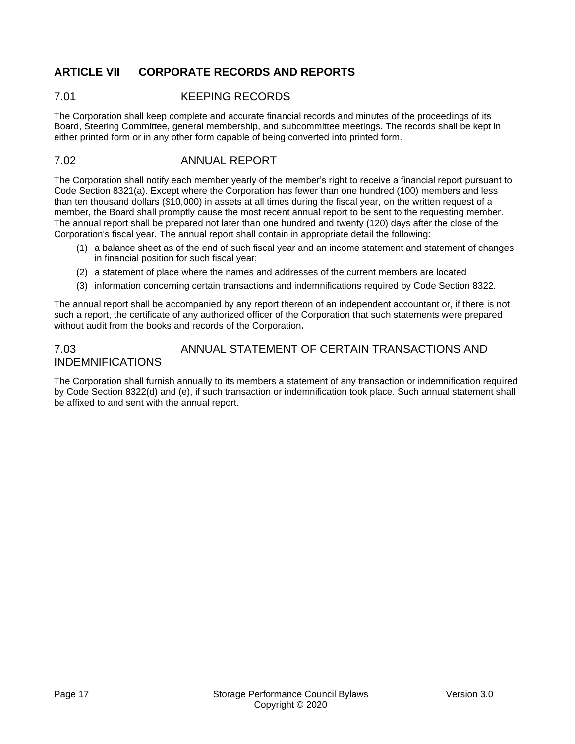# **ARTICLE VII CORPORATE RECORDS AND REPORTS**

## 7.01 KEEPING RECORDS

The Corporation shall keep complete and accurate financial records and minutes of the proceedings of its Board, Steering Committee, general membership, and subcommittee meetings. The records shall be kept in either printed form or in any other form capable of being converted into printed form.

## 7.02 ANNUAL REPORT

The Corporation shall notify each member yearly of the member's right to receive a financial report pursuant to Code Section 8321(a). Except where the Corporation has fewer than one hundred (100) members and less than ten thousand dollars (\$10,000) in assets at all times during the fiscal year, on the written request of a member, the Board shall promptly cause the most recent annual report to be sent to the requesting member. The annual report shall be prepared not later than one hundred and twenty (120) days after the close of the Corporation's fiscal year. The annual report shall contain in appropriate detail the following:

- (1) a balance sheet as of the end of such fiscal year and an income statement and statement of changes in financial position for such fiscal year;
- (2) a statement of place where the names and addresses of the current members are located
- (3) information concerning certain transactions and indemnifications required by Code Section 8322.

The annual report shall be accompanied by any report thereon of an independent accountant or, if there is not such a report, the certificate of any authorized officer of the Corporation that such statements were prepared without audit from the books and records of the Corporation**.**

# 7.03 ANNUAL STATEMENT OF CERTAIN TRANSACTIONS AND INDEMNIFICATIONS

The Corporation shall furnish annually to its members a statement of any transaction or indemnification required by Code Section 8322(d) and (e), if such transaction or indemnification took place. Such annual statement shall be affixed to and sent with the annual report.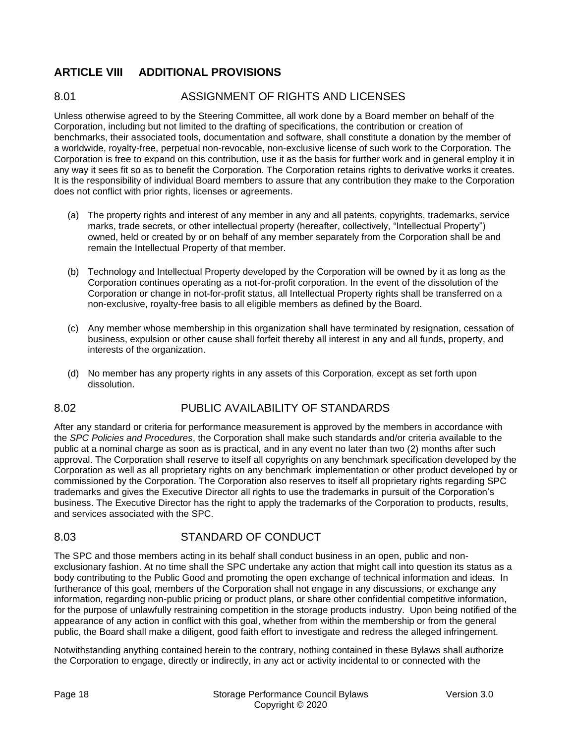# **ARTICLE VIII ADDITIONAL PROVISIONS**

# 8.01 ASSIGNMENT OF RIGHTS AND LICENSES

Unless otherwise agreed to by the Steering Committee, all work done by a Board member on behalf of the Corporation, including but not limited to the drafting of specifications, the contribution or creation of benchmarks, their associated tools, documentation and software, shall constitute a donation by the member of a worldwide, royalty-free, perpetual non-revocable, non-exclusive license of such work to the Corporation. The Corporation is free to expand on this contribution, use it as the basis for further work and in general employ it in any way it sees fit so as to benefit the Corporation. The Corporation retains rights to derivative works it creates. It is the responsibility of individual Board members to assure that any contribution they make to the Corporation does not conflict with prior rights, licenses or agreements.

- (a) The property rights and interest of any member in any and all patents, copyrights, trademarks, service marks, trade secrets, or other intellectual property (hereafter, collectively, "Intellectual Property") owned, held or created by or on behalf of any member separately from the Corporation shall be and remain the Intellectual Property of that member.
- (b) Technology and Intellectual Property developed by the Corporation will be owned by it as long as the Corporation continues operating as a not-for-profit corporation. In the event of the dissolution of the Corporation or change in not-for-profit status, all Intellectual Property rights shall be transferred on a non-exclusive, royalty-free basis to all eligible members as defined by the Board.
- (c) Any member whose membership in this organization shall have terminated by resignation, cessation of business, expulsion or other cause shall forfeit thereby all interest in any and all funds, property, and interests of the organization.
- (d) No member has any property rights in any assets of this Corporation, except as set forth upon dissolution.

# 8.02 PUBLIC AVAILABILITY OF STANDARDS

After any standard or criteria for performance measurement is approved by the members in accordance with the *SPC Policies and Procedures*, the Corporation shall make such standards and/or criteria available to the public at a nominal charge as soon as is practical, and in any event no later than two (2) months after such approval. The Corporation shall reserve to itself all copyrights on any benchmark specification developed by the Corporation as well as all proprietary rights on any benchmark implementation or other product developed by or commissioned by the Corporation. The Corporation also reserves to itself all proprietary rights regarding SPC trademarks and gives the Executive Director all rights to use the trademarks in pursuit of the Corporation's business. The Executive Director has the right to apply the trademarks of the Corporation to products, results, and services associated with the SPC.

# 8.03 STANDARD OF CONDUCT

The SPC and those members acting in its behalf shall conduct business in an open, public and nonexclusionary fashion. At no time shall the SPC undertake any action that might call into question its status as a body contributing to the Public Good and promoting the open exchange of technical information and ideas. In furtherance of this goal, members of the Corporation shall not engage in any discussions, or exchange any information, regarding non-public pricing or product plans, or share other confidential competitive information, for the purpose of unlawfully restraining competition in the storage products industry. Upon being notified of the appearance of any action in conflict with this goal, whether from within the membership or from the general public, the Board shall make a diligent, good faith effort to investigate and redress the alleged infringement.

Notwithstanding anything contained herein to the contrary, nothing contained in these Bylaws shall authorize the Corporation to engage, directly or indirectly, in any act or activity incidental to or connected with the